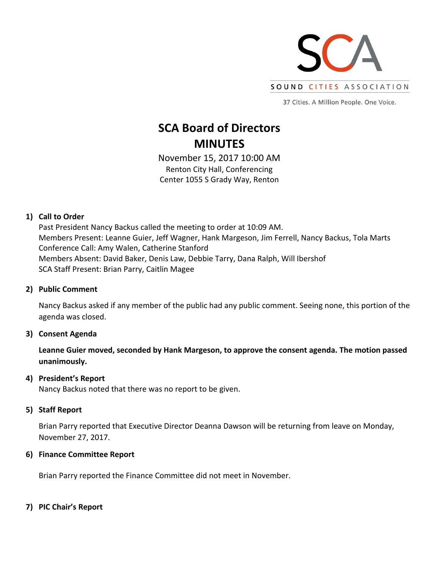

37 Cities. A Million People. One Voice.

# **SCA Board of Directors MINUTES**

November 15, 2017 10:00 AM Renton City Hall, Conferencing Center 1055 S Grady Way, Renton

## **1) Call to Order**

Past President Nancy Backus called the meeting to order at 10:09 AM. Members Present: Leanne Guier, Jeff Wagner, Hank Margeson, Jim Ferrell, Nancy Backus, Tola Marts Conference Call: Amy Walen, Catherine Stanford Members Absent: David Baker, Denis Law, Debbie Tarry, Dana Ralph, Will Ibershof SCA Staff Present: Brian Parry, Caitlin Magee

## **2) Public Comment**

Nancy Backus asked if any member of the public had any public comment. Seeing none, this portion of the agenda was closed.

## **3) Consent Agenda**

**Leanne Guier moved, seconded by Hank Margeson, to approve the consent agenda. The motion passed unanimously.**

## **4) President's Report**

Nancy Backus noted that there was no report to be given.

## **5) Staff Report**

Brian Parry reported that Executive Director Deanna Dawson will be returning from leave on Monday, November 27, 2017.

## **6) Finance Committee Report**

Brian Parry reported the Finance Committee did not meet in November.

## **7) PIC Chair's Report**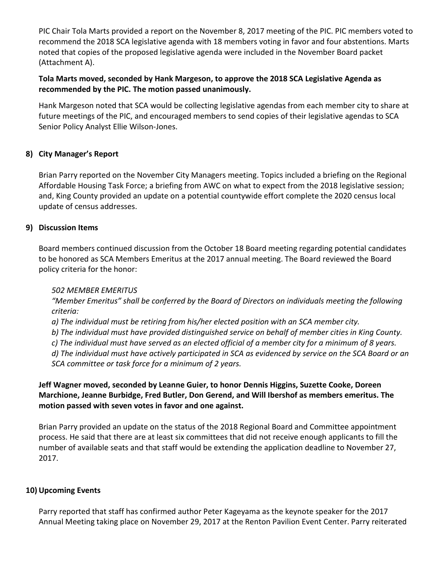PIC Chair Tola Marts provided a report on the November 8, 2017 meeting of the PIC. PIC members voted to recommend the 2018 SCA legislative agenda with 18 members voting in favor and four abstentions. Marts noted that copies of the proposed legislative agenda were included in the November Board packet (Attachment A).

# **Tola Marts moved, seconded by Hank Margeson, to approve the 2018 SCA Legislative Agenda as recommended by the PIC. The motion passed unanimously.**

Hank Margeson noted that SCA would be collecting legislative agendas from each member city to share at future meetings of the PIC, and encouraged members to send copies of their legislative agendas to SCA Senior Policy Analyst Ellie Wilson-Jones.

# **8) City Manager's Report**

Brian Parry reported on the November City Managers meeting. Topics included a briefing on the Regional Affordable Housing Task Force; a briefing from AWC on what to expect from the 2018 legislative session; and, King County provided an update on a potential countywide effort complete the 2020 census local update of census addresses.

## **9) Discussion Items**

Board members continued discussion from the October 18 Board meeting regarding potential candidates to be honored as SCA Members Emeritus at the 2017 annual meeting. The Board reviewed the Board policy criteria for the honor:

## *502 MEMBER EMERITUS*

*"Member Emeritus" shall be conferred by the Board of Directors on individuals meeting the following criteria:*

*a) The individual must be retiring from his/her elected position with an SCA member city.*

*b) The individual must have provided distinguished service on behalf of member cities in King County.*

*c) The individual must have served as an elected official of a member city for a minimum of 8 years.*

*d) The individual must have actively participated in SCA as evidenced by service on the SCA Board or an SCA committee or task force for a minimum of 2 years.*

# **Jeff Wagner moved, seconded by Leanne Guier, to honor Dennis Higgins, Suzette Cooke, Doreen Marchione, Jeanne Burbidge, Fred Butler, Don Gerend, and Will Ibershof as members emeritus. The motion passed with seven votes in favor and one against.**

Brian Parry provided an update on the status of the 2018 Regional Board and Committee appointment process. He said that there are at least six committees that did not receive enough applicants to fill the number of available seats and that staff would be extending the application deadline to November 27, 2017.

## **10) Upcoming Events**

Parry reported that staff has confirmed author Peter Kageyama as the keynote speaker for the 2017 Annual Meeting taking place on November 29, 2017 at the Renton Pavilion Event Center. Parry reiterated